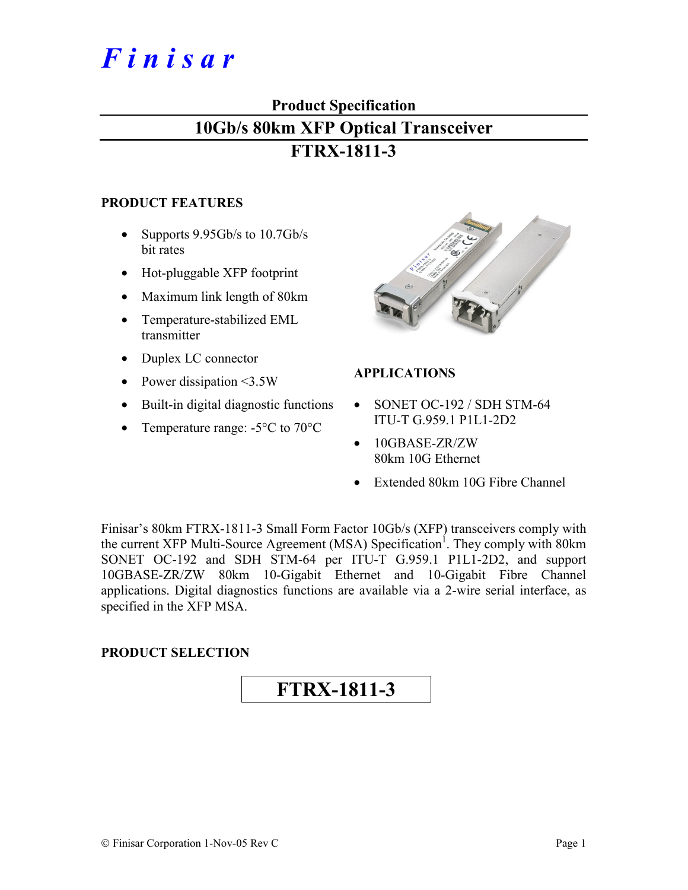# *F i n i s a r*

# **Product Specification**

# **10Gb/s 80km XFP Optical Transceiver**

# **FTRX-1811-3**

#### **PRODUCT FEATURES**

- Supports 9.95Gb/s to 10.7Gb/s bit rates
- Hot-pluggable XFP footprint
- Maximum link length of 80km
- Temperature-stabilized EML transmitter
- Duplex LC connector
- Power dissipation <3.5W
- Built-in digital diagnostic functions
- Temperature range: -5<sup>o</sup>C to 70<sup>o</sup>C



# **APPLICATIONS**

- SONET OC-192 / SDH STM-64 ITU-T G.959.1 P1L1-2D2
- 10GBASE-ZR/ZW 80km 10G Ethernet
- Extended 80km 10G Fibre Channel

Finisar's 80km FTRX-1811-3 Small Form Factor 10Gb/s (XFP) transceivers comply with the current XFP Multi-Source Agreement (MSA) Specification<sup>1</sup>. They comply with 80km SONET OC-192 and SDH STM-64 per ITU-T G.959.1 P1L1-2D2, and support 10GBASE-ZR/ZW 80km 10-Gigabit Ethernet and 10-Gigabit Fibre Channel applications. Digital diagnostics functions are available via a 2-wire serial interface, as specified in the XFP MSA.

## **PRODUCT SELECTION**

# **FTRX-1811-3**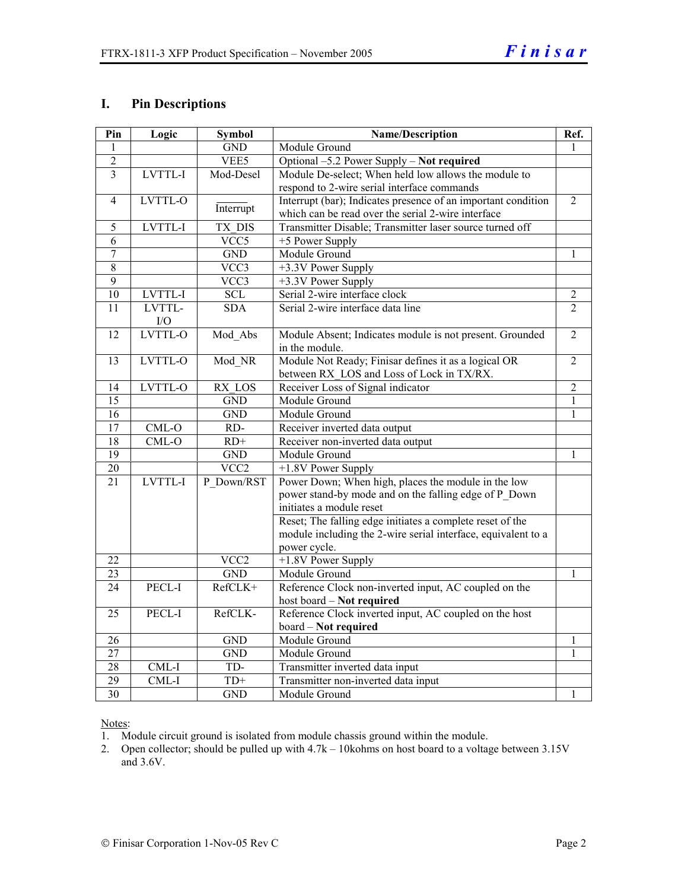#### **I. Pin Descriptions**

| Pin             | Logic          | <b>Symbol</b>     | Name/Description                                              |                |  |
|-----------------|----------------|-------------------|---------------------------------------------------------------|----------------|--|
| 1               |                | <b>GND</b>        | Module Ground                                                 |                |  |
| $\overline{2}$  |                | VEE5              | Optional -5.2 Power Supply - Not required                     |                |  |
| 3               | LVTTL-I        | Mod-Desel         | Module De-select; When held low allows the module to          |                |  |
|                 |                |                   | respond to 2-wire serial interface commands                   |                |  |
| $\overline{4}$  | LVTTL-O        | Interrupt         | Interrupt (bar); Indicates presence of an important condition | $\overline{2}$ |  |
|                 |                |                   | which can be read over the serial 2-wire interface            |                |  |
| 5               | LVTTL-I        | TX DIS            | Transmitter Disable; Transmitter laser source turned off      |                |  |
| 6               |                | VCC5              | +5 Power Supply                                               |                |  |
| $\overline{7}$  |                | <b>GND</b>        | Module Ground                                                 | 1              |  |
| $\overline{8}$  |                | $\overline{VCC3}$ | +3.3V Power Supply                                            |                |  |
| $\overline{9}$  |                | VCC3              | +3.3V Power Supply                                            |                |  |
| 10              | <b>LVTTL-I</b> | <b>SCL</b>        | Serial 2-wire interface clock                                 | $\overline{2}$ |  |
| 11              | LVTTL-         | <b>SDA</b>        | Serial 2-wire interface data line                             | $\overline{2}$ |  |
|                 | I/O            |                   |                                                               |                |  |
| 12              | LVTTL-O        | Mod_Abs           | Module Absent; Indicates module is not present. Grounded      | $\overline{2}$ |  |
|                 |                |                   | in the module.                                                |                |  |
| 13              | LVTTL-O        | Mod NR            | Module Not Ready; Finisar defines it as a logical OR          | $\overline{2}$ |  |
|                 |                |                   | between RX LOS and Loss of Lock in TX/RX.                     |                |  |
| 14              | LVTTL-O        | RX LOS            | Receiver Loss of Signal indicator                             | $\overline{2}$ |  |
| $\overline{15}$ |                | <b>GND</b>        | Module Ground                                                 | $\mathbf{1}$   |  |
| 16              |                | <b>GND</b>        | Module Ground                                                 | $\mathbf{1}$   |  |
| 17              | $CML-O$        | RD-               | Receiver inverted data output                                 |                |  |
| $\overline{18}$ | $CML-O$        | $RD+$             | Receiver non-inverted data output                             |                |  |
| $\overline{19}$ |                | <b>GND</b>        | Module Ground                                                 | 1              |  |
| $\overline{20}$ |                | VCC <sub>2</sub>  | +1.8V Power Supply                                            |                |  |
| 21              | LVTTL-I        | P Down/RST        | Power Down; When high, places the module in the low           |                |  |
|                 |                |                   | power stand-by mode and on the falling edge of P Down         |                |  |
|                 |                |                   | initiates a module reset                                      |                |  |
|                 |                |                   | Reset; The falling edge initiates a complete reset of the     |                |  |
|                 |                |                   | module including the 2-wire serial interface, equivalent to a |                |  |
|                 |                |                   | power cycle.                                                  |                |  |
| 22              |                | VCC <sub>2</sub>  | +1.8V Power Supply                                            |                |  |
| 23              |                | <b>GND</b>        | Module Ground                                                 | 1              |  |
| 24              | PECL-I         | RefCLK+           | Reference Clock non-inverted input, AC coupled on the         |                |  |
|                 |                |                   | host board - Not required                                     |                |  |
| 25              | PECL-I         | RefCLK-           | Reference Clock inverted input, AC coupled on the host        |                |  |
|                 |                |                   | board - Not required                                          |                |  |
| 26              |                | <b>GND</b>        | Module Ground                                                 | $\mathbf{1}$   |  |
| 27              |                | <b>GND</b>        | Module Ground                                                 | $\mathbf{1}$   |  |
| $\overline{28}$ | CML-I          | TD-               | Transmitter inverted data input                               |                |  |
| $\overline{29}$ | CML-I          | $TD+$             | Transmitter non-inverted data input                           |                |  |
| 30              |                | <b>GND</b>        | Module Ground                                                 | $\mathbf{1}$   |  |

Notes:

1. Module circuit ground is isolated from module chassis ground within the module.

2. Open collector; should be pulled up with 4.7k – 10kohms on host board to a voltage between 3.15V and 3.6V.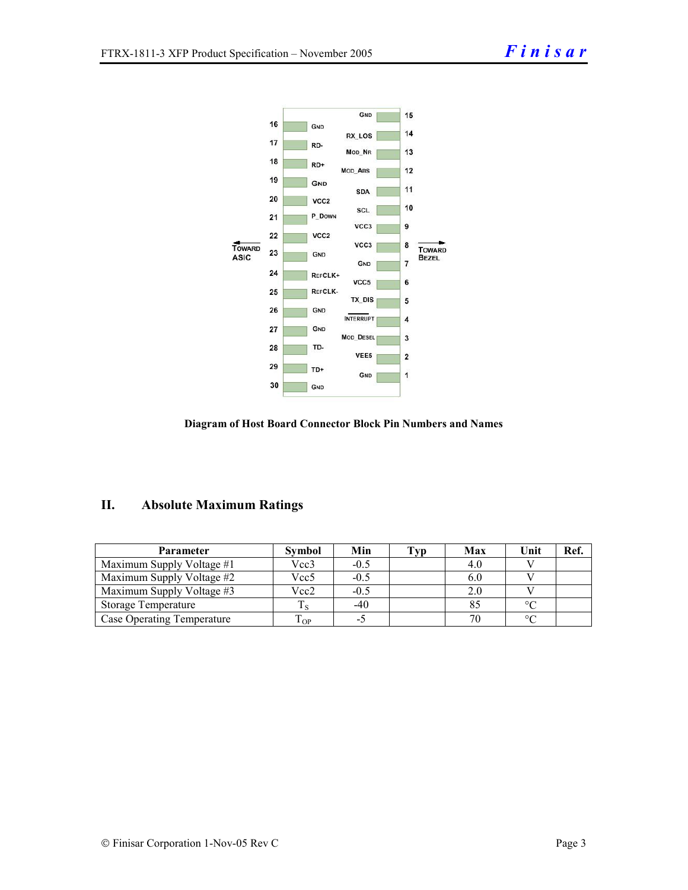

#### **Diagram of Host Board Connector Block Pin Numbers and Names**

## **II. Absolute Maximum Ratings**

| Parameter                  | Symbol    | Min    | Typ | Max | Unit      | Ref. |
|----------------------------|-----------|--------|-----|-----|-----------|------|
| Maximum Supply Voltage #1  | Vcc3      | $-0.5$ |     | 4.0 |           |      |
| Maximum Supply Voltage #2  | Vcc5      | $-0.5$ |     | 6.0 |           |      |
| Maximum Supply Voltage #3  | Vcc2      | $-0.5$ |     | 2.0 |           |      |
| Storage Temperature        |           | $-40$  |     |     | $\circ$ C |      |
| Case Operating Temperature | m<br>I OP | -5     |     |     | $\circ$   |      |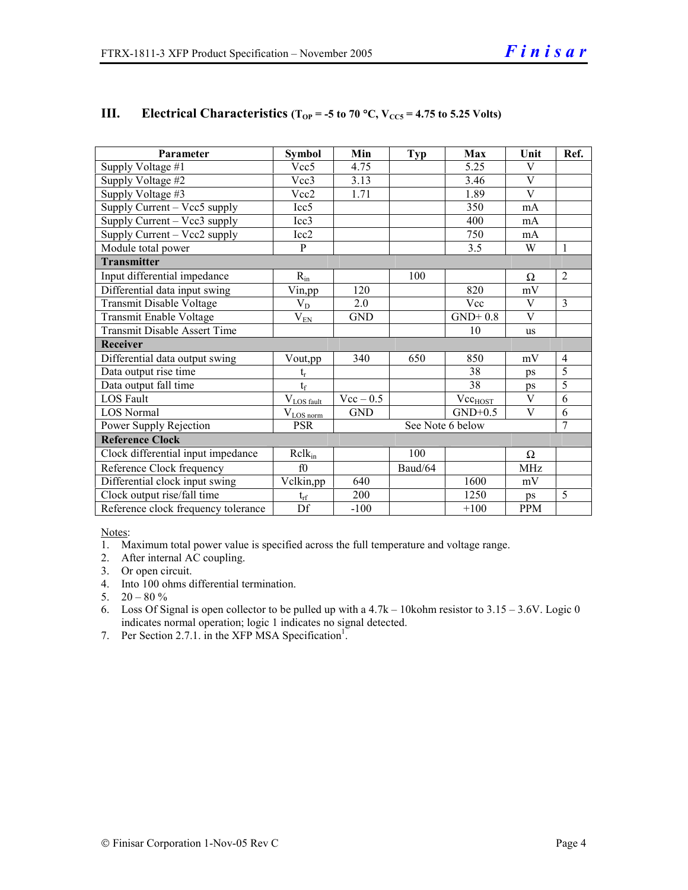| Parameter                           | <b>Symbol</b>            | Min              | <b>Typ</b> | Max                 | Unit       | Ref.           |  |  |
|-------------------------------------|--------------------------|------------------|------------|---------------------|------------|----------------|--|--|
| Supply Voltage #1                   | Vec5                     | 4.75             |            | 5.25                | V          |                |  |  |
| Supply Voltage #2                   | Vec3                     | 3.13             |            | 3.46                | V          |                |  |  |
| Supply Voltage #3                   | Vcc2                     | 1.71             |            | 1.89                | V          |                |  |  |
| Supply Current – Vcc5 supply        | Icc <sub>5</sub>         |                  |            | 350                 | mA         |                |  |  |
| Supply Current - Vcc3 supply        | Icc3                     |                  |            | 400                 | mA         |                |  |  |
| Supply Current – Vcc2 supply        | Icc <sub>2</sub>         |                  |            | 750                 | mA         |                |  |  |
| Module total power                  | $\mathbf{p}$             |                  |            | 3.5                 | W          | $\mathbf{1}$   |  |  |
| <b>Transmitter</b>                  |                          |                  |            |                     |            |                |  |  |
| Input differential impedance        | $R_{in}$                 |                  | 100        |                     | Ω          | $\overline{2}$ |  |  |
| Differential data input swing       | Vin,pp                   | 120              |            | 820                 | mV         |                |  |  |
| Transmit Disable Voltage            | $V_D$                    | 2.0              |            | Vcc                 | V          | $\overline{3}$ |  |  |
| <b>Transmit Enable Voltage</b>      | $\rm V_{EN}$             | <b>GND</b>       |            | $GND+0.8$           | V          |                |  |  |
| Transmit Disable Assert Time        |                          |                  |            | 10                  | <b>us</b>  |                |  |  |
| Receiver                            |                          |                  |            |                     |            |                |  |  |
| Differential data output swing      | Vout,pp                  | 340              | 650        | 850                 | mV         | $\overline{4}$ |  |  |
| Data output rise time               | $\mathbf{t}_\mathrm{r}$  |                  |            | 38                  | ps         | 5              |  |  |
| Data output fall time               | $t_f$                    |                  |            | 38                  | ps         | 5              |  |  |
| <b>LOS</b> Fault                    | $V_{LOS fault}$          | $Vec - 0.5$      |            | Vec <sub>HOST</sub> | V          | 6              |  |  |
| <b>LOS Normal</b>                   | $\rm V_{\rm LOS\, norm}$ | <b>GND</b>       |            | $GND+0.5$           | V          | 6              |  |  |
| Power Supply Rejection              | <b>PSR</b>               | See Note 6 below |            |                     |            | $\tau$         |  |  |
| <b>Reference Clock</b>              |                          |                  |            |                     |            |                |  |  |
| Clock differential input impedance  | $R$ cl $k_{in}$          |                  | 100        |                     | $\Omega$   |                |  |  |
| Reference Clock frequency           | f0                       |                  | Baud/64    |                     | <b>MHz</b> |                |  |  |
| Differential clock input swing      | Vclkin,pp                | 640              |            | 1600                | mV         |                |  |  |
| Clock output rise/fall time         | $t_{rf}$                 | 200              |            | 1250                | ps         | 5              |  |  |
| Reference clock frequency tolerance | $\overline{Df}$          | $-100$           |            | $+100$              | <b>PPM</b> |                |  |  |

## **III.** Electrical Characteristics ( $T_{OP}$  = -5 to 70 °C,  $V_{CC5}$  = 4.75 to 5.25 Volts)

Notes:

1. Maximum total power value is specified across the full temperature and voltage range.

- 2. After internal AC coupling.
- 3. Or open circuit.
- 4. Into 100 ohms differential termination.
- 5.  $20 80 \%$
- 6. Loss Of Signal is open collector to be pulled up with a 4.7k 10kohm resistor to 3.15 3.6V. Logic 0 indicates normal operation; logic 1 indicates no signal detected.
- 7. Per Section 2.7.1. in the XFP MSA Specification<sup>1</sup>.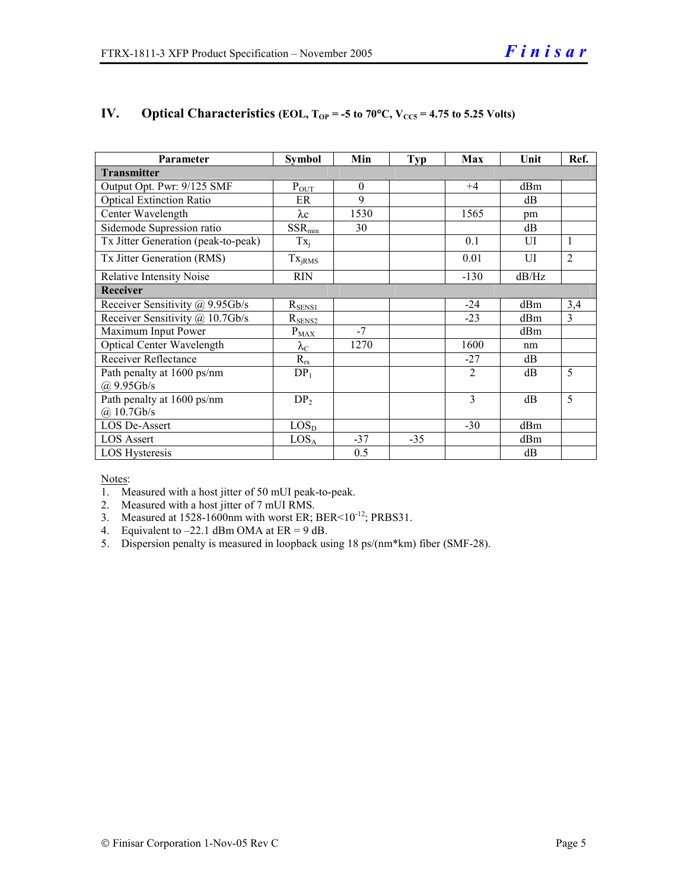| Parameter                           | <b>Symbol</b>      | Min      | Typ   | Max            | Unit  | Ref.           |  |
|-------------------------------------|--------------------|----------|-------|----------------|-------|----------------|--|
| <b>Transmitter</b>                  |                    |          |       |                |       |                |  |
| Output Opt. Pwr: 9/125 SMF          | $P_{OUT}$          | $\theta$ |       | $+4$           | dBm   |                |  |
| <b>Optical Extinction Ratio</b>     | ER                 | 9        |       |                | dB    |                |  |
| Center Wavelength                   | $\lambda c$        | 1530     |       | 1565           | pm    |                |  |
| Sidemode Supression ratio           | $SSR_{min}$        | 30       |       |                | dB    |                |  |
| Tx Jitter Generation (peak-to-peak) | $Tx_i$             |          |       | 0.1            | UI    | $\mathbf{1}$   |  |
| Tx Jitter Generation (RMS)          | Tx <sub>jRMS</sub> |          |       | 0.01           | UI    | $\overline{2}$ |  |
| <b>Relative Intensity Noise</b>     | <b>RIN</b>         |          |       | $-130$         | dB/Hz |                |  |
| Receiver                            |                    |          |       |                |       |                |  |
| Receiver Sensitivity @ 9.95Gb/s     | $R_{SENS1}$        |          |       | $-24$          | dBm   | 3,4            |  |
| Receiver Sensitivity @ 10.7Gb/s     | $R_{\frac{SENS2}}$ |          |       | $-23$          | dBm   | $\mathcal{E}$  |  |
| Maximum Input Power                 | $P_{\text{MAX}}$   | $-7$     |       |                | dBm   |                |  |
| Optical Center Wavelength           | $\lambda_{\rm C}$  | 1270     |       | 1600           | nm    |                |  |
| Receiver Reflectance                | $R_{rx}$           |          |       | $-27$          | dВ    |                |  |
| Path penalty at 1600 ps/nm          | $DP_1$             |          |       | $\overline{2}$ | dB    | 5              |  |
| $(a)$ 9.95Gb/s                      |                    |          |       |                |       |                |  |
| Path penalty at 1600 ps/nm          | DP <sub>2</sub>    |          |       | 3              | dB    | 5              |  |
| $(a)$ 10.7Gb/s                      |                    |          |       |                |       |                |  |
| <b>LOS De-Assert</b>                | $LOS_{D}$          |          |       | $-30$          | dBm   |                |  |
| <b>LOS Assert</b>                   | LOS <sub>A</sub>   | $-37$    | $-35$ |                | dBm   |                |  |
| LOS Hysteresis                      |                    | 0.5      |       |                | dB    |                |  |

# **IV.** Optical Characteristics (EOL,  $T_{OP} = -5$  to 70°C,  $V_{CC5} = 4.75$  to 5.25 Volts)

Notes:

- 1. Measured with a host jitter of 50 mUI peak-to-peak.
- 2. Measured with a host jitter of 7 mUI RMS.
- 3. Measured at  $1528-1600$ nm with worst ER; BER< $10^{-12}$ ; PRBS31.
- 4. Equivalent to  $-22.1$  dBm OMA at ER = 9 dB.
- 5. Dispersion penalty is measured in loopback using 18 ps/(nm\*km) fiber (SMF-28).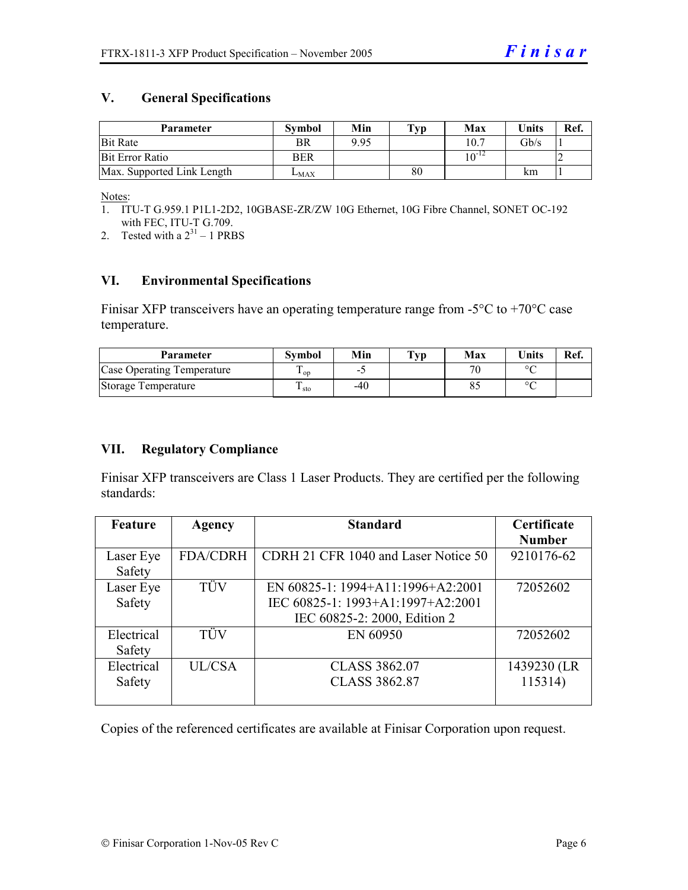#### **V. General Specifications**

| <b>Parameter</b>           | Svmbol    | Min  | $\mathbf{T}_{\mathbf{V}\mathbf{p}}$ | Max        | <b>Units</b> | Ref. |
|----------------------------|-----------|------|-------------------------------------|------------|--------------|------|
| <b>Bit Rate</b>            | BR        | 9.95 |                                     | 10.7       | Gb/s         |      |
| <b>Bit Error Ratio</b>     | BER       |      |                                     | $10^{-12}$ |              |      |
| Max. Supported Link Length | $L_{MAX}$ |      | 80                                  |            | km           |      |

Notes:

- 1. ITU-T G.959.1 P1L1-2D2, 10GBASE-ZR/ZW 10G Ethernet, 10G Fibre Channel, SONET OC-192 with FEC, ITU-T G.709.
- 2. Tested with a  $2^{31} 1$  PRBS

#### **VI. Environmental Specifications**

Finisar XFP transceivers have an operating temperature range from  $-5^{\circ}\text{C}$  to  $+70^{\circ}\text{C}$  case temperature.

| Parameter                  | Svmbol    | Min   | T <sub>VP</sub> | Max | $\blacksquare$ Inits | Ref. |
|----------------------------|-----------|-------|-----------------|-----|----------------------|------|
| Case Operating Temperature | $\sim$ 0D | -     |                 | 70  | $\sim$               |      |
| Storage Temperature        | ⊥ sto     | $-40$ |                 |     | $\circ$              |      |

#### **VII. Regulatory Compliance**

Finisar XFP transceivers are Class 1 Laser Products. They are certified per the following standards:

| Feature    | Agency          | <b>Standard</b>                      | Certificate   |
|------------|-----------------|--------------------------------------|---------------|
|            |                 |                                      | <b>Number</b> |
| Laser Eye  | <b>FDA/CDRH</b> | CDRH 21 CFR 1040 and Laser Notice 50 | 9210176-62    |
| Safety     |                 |                                      |               |
| Laser Eye  | TÜV             | EN 60825-1: 1994+A11:1996+A2:2001    | 72052602      |
| Safety     |                 | IEC 60825-1: 1993+A1:1997+A2:2001    |               |
|            |                 | IEC 60825-2: 2000, Edition 2         |               |
| Electrical | TÜV             | EN 60950                             | 72052602      |
| Safety     |                 |                                      |               |
| Electrical | UL/CSA          | <b>CLASS 3862.07</b>                 | 1439230 (LR   |
| Safety     |                 | <b>CLASS 3862.87</b>                 | 115314)       |
|            |                 |                                      |               |

Copies of the referenced certificates are available at Finisar Corporation upon request.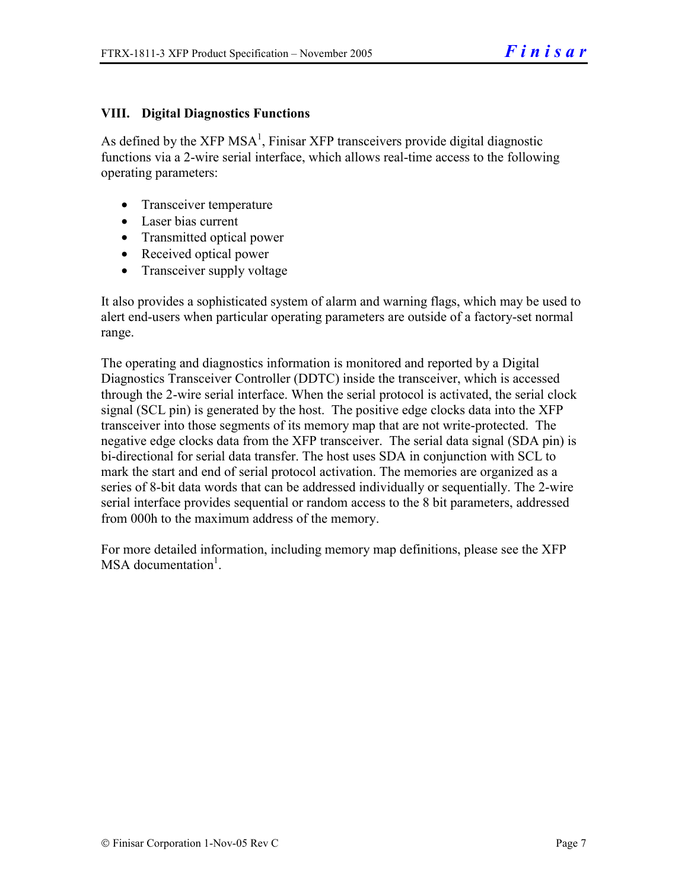#### **VIII. Digital Diagnostics Functions**

As defined by the  $XFP MSA<sup>1</sup>$ , Finisar  $XFP$  transceivers provide digital diagnostic functions via a 2-wire serial interface, which allows real-time access to the following operating parameters:

- Transceiver temperature
- Laser bias current
- Transmitted optical power
- Received optical power
- Transceiver supply voltage

It also provides a sophisticated system of alarm and warning flags, which may be used to alert end-users when particular operating parameters are outside of a factory-set normal range.

The operating and diagnostics information is monitored and reported by a Digital Diagnostics Transceiver Controller (DDTC) inside the transceiver, which is accessed through the 2-wire serial interface. When the serial protocol is activated, the serial clock signal (SCL pin) is generated by the host. The positive edge clocks data into the XFP transceiver into those segments of its memory map that are not write-protected. The negative edge clocks data from the XFP transceiver. The serial data signal (SDA pin) is bi-directional for serial data transfer. The host uses SDA in conjunction with SCL to mark the start and end of serial protocol activation. The memories are organized as a series of 8-bit data words that can be addressed individually or sequentially. The 2-wire serial interface provides sequential or random access to the 8 bit parameters, addressed from 000h to the maximum address of the memory.

For more detailed information, including memory map definitions, please see the XFP MSA documentation<sup>1</sup>.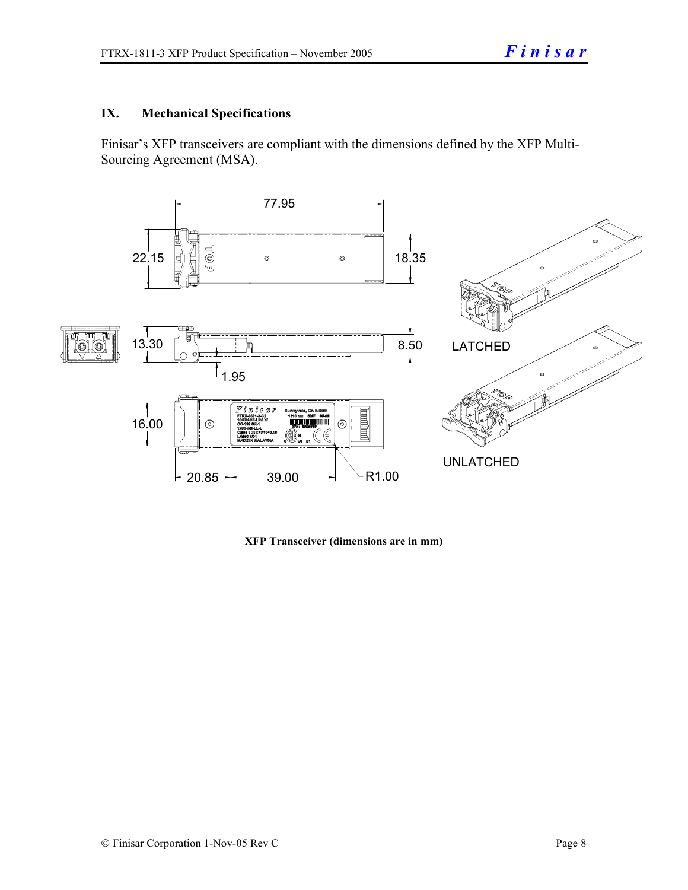## **IX. Mechanical Specifications**

Finisar's XFP transceivers are compliant with the dimensions defined by the XFP Multi-Sourcing Agreement (MSA).



**XFP Transceiver (dimensions are in mm)**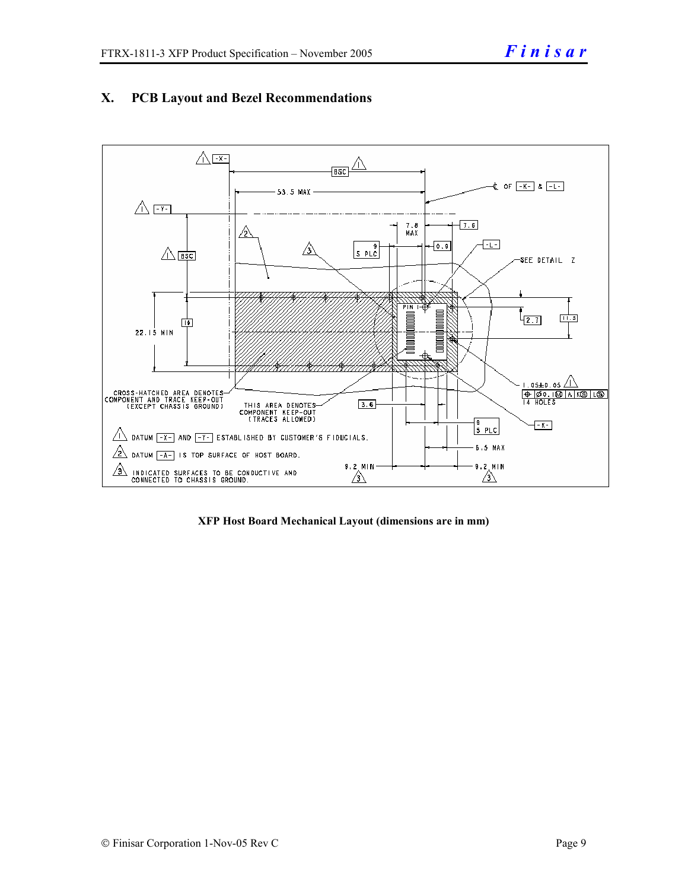

# **X. PCB Layout and Bezel Recommendations**

**XFP Host Board Mechanical Layout (dimensions are in mm)**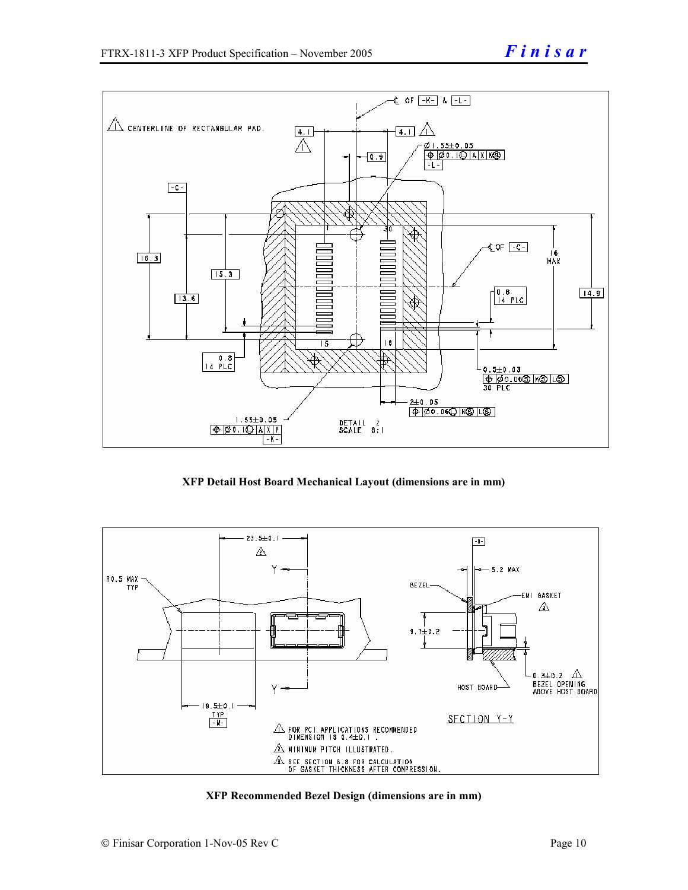

**XFP Detail Host Board Mechanical Layout (dimensions are in mm)** 



**XFP Recommended Bezel Design (dimensions are in mm)**